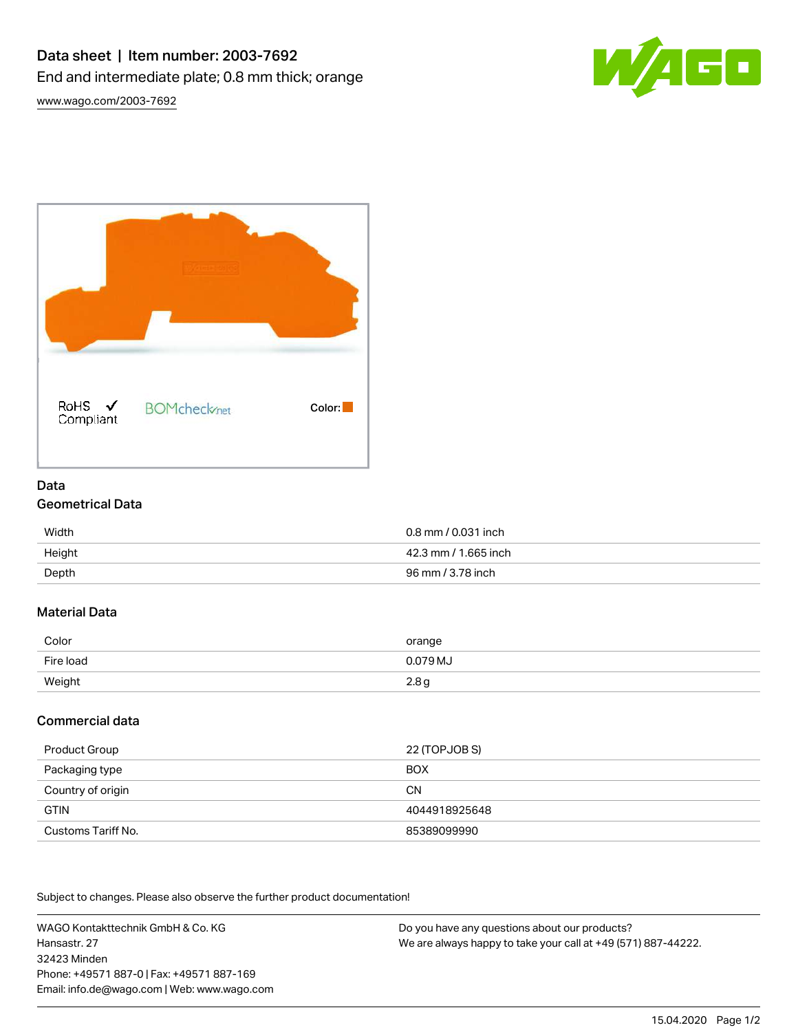

[www.wago.com/2003-7692](http://www.wago.com/2003-7692)



### Data Geometrical Data

| Width  | 0.8 mm / 0.031 inch  |
|--------|----------------------|
| Height | 42.3 mm / 1.665 inch |
| Depth  | 96 mm / 3.78 inch    |

# Material Data

| Color     | orange           |
|-----------|------------------|
| Fire load | 0.079 MJ         |
| Weight    | 2.8 <sub>g</sub> |

# Commercial data

| Product Group      | 22 (TOPJOB S) |
|--------------------|---------------|
| Packaging type     | <b>BOX</b>    |
| Country of origin  | <b>CN</b>     |
| <b>GTIN</b>        | 4044918925648 |
| Customs Tariff No. | 85389099990   |

Subject to changes. Please also observe the further product documentation!

WAGO Kontakttechnik GmbH & Co. KG Hansastr. 27 32423 Minden Phone: +49571 887-0 | Fax: +49571 887-169 Email: info.de@wago.com | Web: www.wago.com

Do you have any questions about our products? We are always happy to take your call at +49 (571) 887-44222.